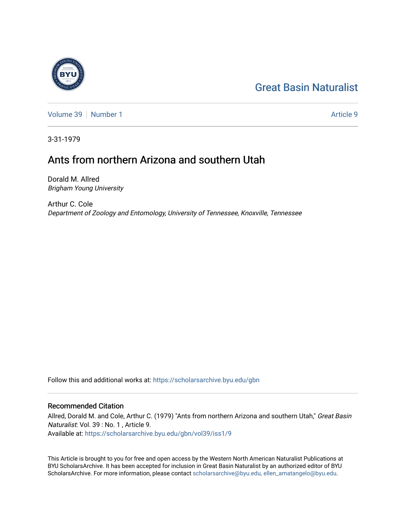# [Great Basin Naturalist](https://scholarsarchive.byu.edu/gbn)

[Volume 39](https://scholarsarchive.byu.edu/gbn/vol39) [Number 1](https://scholarsarchive.byu.edu/gbn/vol39/iss1) Article 9

3-31-1979

## Ants from northern Arizona and southern Utah

Dorald M. Allred Brigham Young University

Arthur C. Cole Department of Zoology and Entomology, University of Tennessee, Knoxville, Tennessee

Follow this and additional works at: [https://scholarsarchive.byu.edu/gbn](https://scholarsarchive.byu.edu/gbn?utm_source=scholarsarchive.byu.edu%2Fgbn%2Fvol39%2Fiss1%2F9&utm_medium=PDF&utm_campaign=PDFCoverPages) 

### Recommended Citation

Allred, Dorald M. and Cole, Arthur C. (1979) "Ants from northern Arizona and southern Utah," Great Basin Naturalist: Vol. 39 : No. 1 , Article 9. Available at: [https://scholarsarchive.byu.edu/gbn/vol39/iss1/9](https://scholarsarchive.byu.edu/gbn/vol39/iss1/9?utm_source=scholarsarchive.byu.edu%2Fgbn%2Fvol39%2Fiss1%2F9&utm_medium=PDF&utm_campaign=PDFCoverPages)

This Article is brought to you for free and open access by the Western North American Naturalist Publications at BYU ScholarsArchive. It has been accepted for inclusion in Great Basin Naturalist by an authorized editor of BYU ScholarsArchive. For more information, please contact [scholarsarchive@byu.edu, ellen\\_amatangelo@byu.edu.](mailto:scholarsarchive@byu.edu,%20ellen_amatangelo@byu.edu)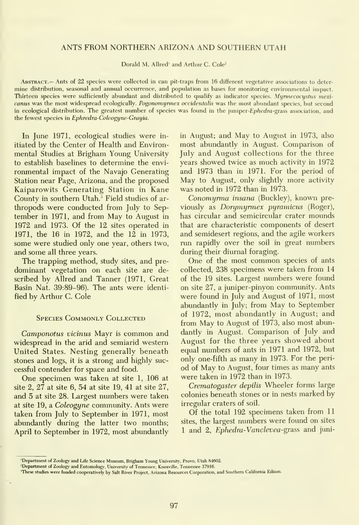#### ANTS FROM NORTHERN ARIZONA AND SOUTHERN UTAH

Dorald M. Allred' and Arthur C. Cole<sup>2</sup>

Abstract.— Ants of 22 species were collected in can pit-traps from 16 different vegetative associations to deter mine distribution, seasonal and annual occurrence, and population as bases for monitoring environmental impact. Thirteen species were sufficiently abundant and distributed to qualify as indicator species. Myrmecocystus mexicanus was the most widespread ecologically. Pogonomyrmex occidentalis was the most abundant species, but second in ecological distribution. The greatest number of species was found in the juniper-Ephedra-grass association, and the fewest species in Ephredra-Coleogyne-Grayia.

In June 1971, ecological studies were in itiated by the Center of Health and Environ mental Studies at Brigham Young University to establish baselines to determine the envi ronmental impact of the Navajo Generating Station near Page, Arizona, and the proposed Kaiparowits Generating Station in Kane County in southern Utah.' Field studies of ar thropods were conducted from July to Sep tember in 1971, and from May to August in 1972 and 1973. Of the 12 sites operated in 1971, the 16 in 1972, and the 12 in 1973, some were studied only one year, others two, and some all three years.

The trapping method, study sites, and pre dominant vegetation on each site are de scribed by Allred and Tanner (1971, Great Basin Nat. 39:89-96). The ants were identi fied by Arthur C. Cole

#### Species Commonly Collected

Camponotus vicinus Mayr is common and widespread in the arid and semiarid western United States. Nesting generally beneath stones and logs, it is a strong and highly successful contender for space and food.

One specimen was taken at site 1, 106 at site 2, 27 at site 6, 54 at site 19, 41 at site 27, and 5 at site 28. Largest numbers were taken at site 19, a Coleogyne community. Ants were taken from July to September in 1971, most abundantly during the latter two months; April to September in 1972, most abundantly in August; and May to August in 1973, also most abundantly in August. Comparison of July and August collections for the three years showed twice as much activity in 1972 and 1973 than in 1971. For the period of May to August, only slightly more activity was noted in 1972 than in 1973.

Conomyrma insana (Buckley), known previously as Dorymyrmex pyramicus (Roger), has circular and semicircular crater mounds that are characteristic components of desert and semidesert regions, and the agile workers run rapidly over the soil in great numbers during their diurnal foraging.

One of the most common species of ants collected, 238 specimens were taken from 14 of the 19 sites. Largest numbers were found on site 27, a juniper-pinyon community. Ants were found in July and August of 1971, most abundantly in July; from May to September of 1972, most abundantly in August; and from May to August of 1973, also most abundantly in August. Comparison of July and August for the three years showed about equal numbers of ants in 1971 and 1972, but only one-fifth as many in1973. For the peri od of May to August, four times as many ants were taken in 1972 than in 1973.

Crematogaster depilis Wheeler forms large colonies beneath stones or in nests marked by irregular craters of soil.

Of the total 192 specimens taken from 11 sites, the largest numbers were found on sites <sup>1</sup> and 2, Ephedra-Vanclevea-grass and juni-

<sup>&#</sup>x27;Department of Zoology and Life Science Museum, Brigham Young University, Provo, Utah 84602.

<sup>&#</sup>x27;Department of Zoology and Entomology, University of Tennessee, Knoxville, Tennessee 37916.

<sup>&#</sup>x27;These studies were funded cooperatively by Salt River Project, Arizona Resources Corporation, and Southern California Edison.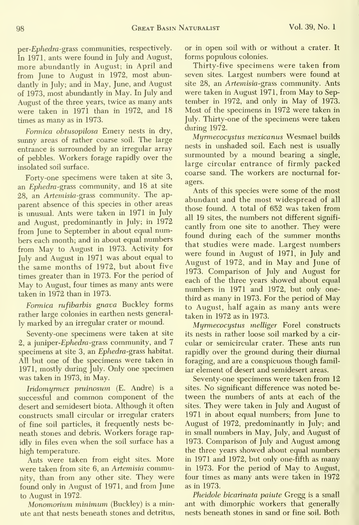per-Ephedra-grass communities, respectively. In 1971, ants were found in July and August, more abundantly in August; in April and from June to August in 1972, most abundantly in July; and in May, June, and August of 1973, most abundantly in May. In July and August of the three years, twice as many ants were taken in 1971 than in 1972, and 18 times as many as in 1973.

Formica ohtusopilosa Emery nests in dry, sunny areas of rather coarse soil. The large entrance is surrounded by an irregular array of pebbles. Workers forage rapidly over the insolated soil surface.

Forty-one specimens were taken at site 3, an *Ephedra-grass* community, and 18 at site 28, an Artemisia-grass community. The ap parent absence of this species in other areas is unusual. Ants were taken in 1971 in July and August, predominantly in July; in 1972 from June to September in about equal numbers each month; and in about equal numbers from May to August in 1973. Activity for July and August in 1971 was about equal to the same months of 1972, but about five times greater than in 1973. For the period of May to August, four times as many ants were taken in 1972 than in 1973.

Formica rufibarbis gnava Buckley forms rather large colonies in earthen nests generally marked by an irregular crater or mound.

Seventy-one specimens were taken at site 2, a juniper-Ephedra-grass community, and 7 specimens at site 3, an Ephedra-grass habitat. All but one of the specimens were taken in 1971, mostly during July. Only one specimen was taken in 1973, in May.

Iridomyrmex pruinosum (E. Andre) is a successful and common component of the desert and semidesert biota. Although it often constructs small circular or irregular craters of fine soil particles, it frequently nests be neath stones and debris. Workers forage rapidly in files even when the soil surface has a high temperature.

Ants were taken from eight sites. More were taken from site 6, an Artemisia community, than from any other site. They were found only in August of 1971, and from June to August in 1972.

Monomorium minimum (Buckley) is a minute ant that nests beneath stones and detritus, or in open soil with or without a crater. It forms populous colonies.

Thirty-five specimens were taken from seven sites. Largest numbers were found at site 28, an Artemisia-grass community. Ants were taken in August 1971, from May to Sep tember in 1972, and only in May of 1973. Most of the specimens in 1972 were taken in July. Thirty-one of the specimens were taken during 1972.

Myrmecocystus mexicanus Wesmael builds nests in unshaded soil. Each nest is usually surmounted by a mound bearing a single, large circular entrance of firmly packed coarse sand. The workers are nocturnal for agers.

Ants of this species were some of the most abundant and the most widespread of all those found. A total of 652 was taken from all 19 sites, the numbers not different signifi cantly from one site to another. They were found during each of the summer months that studies were made. Largest numbers were found in August of 1971, in July and August of 1972, and in May and June of 1973. Comparison of July and August for each of the three years showed about equal numbers in 1971 and 1972, but only onethird as many in1973. For the period of May to August, half again as many ants were taken in 1972 as in 1973.

Myrmecocystus melliger Forel constructs its nests in rather loose soil marked by a cir cular or semicircular crater. These ants run rapidly over the ground during their diurnal foraging, and are a conspicuous though familiar element of desert and semidesert areas.

Seventy-one specimens were taken from 12 sites. No significant difference was noted be tween the numbers of ants at each of the sites. They were taken in July and August of 1971 in about equal numbers; from June to August of 1972, predominantly in July; and in small numbers in May, July, and August of 1973. Comparison of July and August among the three years showed about equal numbers in 1971 and 1972, but only one-fifth as many in 1973. For the period of May to August, four times as many ants were taken in 1972 as in 1973.

Pheidole bicarinata paiute Gregg is a small ant with dimorphic workers that generally nests beneath stones in sand or fine soil. Both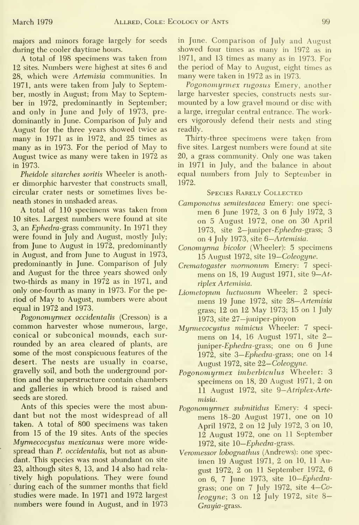majors and minors forage largely for seeds during the cooler daytime hours.

A total of 198 specimens was taken from 12 sites. Numbers were highest at sites 6 and 28, which were Artemisia communities. In 1971, ants were taken from July to September, mostly in August; from May to September in 1972, predominantly in September; and only in June and July of 1973, pre dominantly in June. Comparison of July and August for the three years showed twice as many in 1971 as in 1972, and 25 times as many as in 1973. For the period of May toAugust twice as many were taken in 1972 as in 1973.

Pheidole sitarches soritis Wheeler is another dimorphic harvester that constructs small, circular crater nests or sometimes lives be neath stones in unshaded areas.

A total of 110 specimens was taken from 10 sites. Largest numbers were found at site 3, an *Ephedra-grass* community. In 1971 they were found in July and August, mostly July; from June to August in 1972, predominantly in August, and from June to August in 1973, predominantly in June. Comparison of July and August for the three years showed only two-thirds as many in 1972 as in 1971, and only one-fourth as many in 1973. For the period of May to August, numbers were about equal in 1972 and 1973.

Pogonomyrmex occidentalis (Cresson) is a common harvester whose numerous, large, conical or subconical mounds, each sur rounded by an area cleared of plants, are some of the most conspicuous features of the desert. The nests are usually in coarse, gravelly soil, and both the underground portion and the superstructure contain chambers and galleries in which brood is raised and seeds are stored.

Ants of this species were the most abun dant but not the most widespread of all taken. A total of 800 specimens was taken from 15 of the 19 sites. Ants of the species Myrmecocystus mexicanus were more widespread than P. occidentalis, but not as abundant. This species was most abundant on site 23, although sites 8, 13, and 14 also had rela tively high populations. They were found during each of the summer months that field studies were made. In 1971 and 1972 largest numbers were found in August, and in 1973

in June. Comparison of July and August showed four times as many in 1972 as in 1971, and 13 times as many as in 1973. For the period of May to August, eight times as many were taken in 1972 as in 1973.

Pogonomyrmex rugosus Emery, another large harvester species, constructs nests sur mounted by a low gravel mound or disc with a large, irregular central entrance. The workers vigorously defend their nests and sting readily.

Thirty-three specimens were taken from five sites. Largest numbers were found at site 20, a grass community. Only one was taken in 1971 in July, and the balance in about equal numbers from July to September in 1972.

#### Species Rarely Collected

- Camponotus semitestacea Emery: one speci men 6 June 1972, 3 on 6 July 1972, 3 on 5 August 1972, one on 30 April 1973, site 2-juniper-Ephedra-grass; 3 on 4 July 1973, site 6—Artemisia.
- Conomyrma bicolor (Wheeler): 5 specimens 15 August 1972, site 19—Coleogyne.
- Crematogaster mormonum Emery: 7 speci mens on 18, 19 August 1971, site  $9-At$ riplex Artemisia.
- Liometopum luctuosum Wheeler: 2 specimens 19 June 1972, site 28—Artemisia grass; 12 on 12 May 1973; 15 on <sup>1</sup> July 1973, site 27—juniper-pinyon
- Myrmecocystus mimicus Wheeler: 7 speci mens on 14, <sup>16</sup> August 1971, site 2 juniper-*Ephedra*-grass; one on 6 June 1972, site S—Ephedra-grass; one on 14 August 1972, site 22-Coleogyne.
- Pogonomyrmex imberbiculus Wheeler: 3 specimens on 18, 20 August 1971, 2 on 11 August 1972, site 9-Atriplex-Artemisia.
- Pogonomyrmex suhnitidus Emery: 4 speci mens 18-20 August 1971, one on 10 April 1972, 2 on 12 July 1972, 3 on 10, 12 August 1972, one on 11 September 1972, site 10—*Ephedra*-grass.
- Veromessor lobognathus (Andrews): one spec imen 19 August 1971, 2 on 10, 11 August 1972, 2 on 11 September 1972, 6 on 6, 7 June 1973, site lO-Ephedragrass; one on 7 July 1972, site  $4-Co$ - $[legyne; 3 on 12 July 1972, site 8–$ Grayia-grass.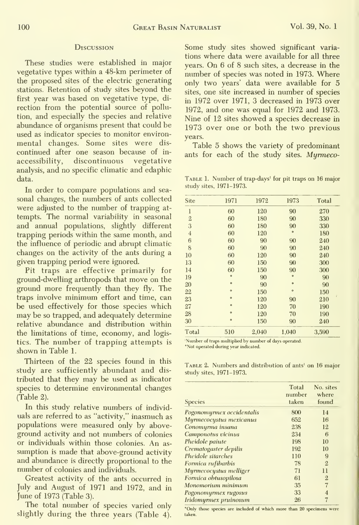#### **Discussion**

These studies were established in major vegetative types within a 48-km perimeter of the proposed sites of the electric generating stations. Retention of study sites beyond the first year was based on vegetative type, di rection from the potential source of pollution, and especially the species and relative abundance of organisms present that could be used as indicator species to monitor environ mental changes. Some sites were dis continued after one season because of in accessibility, discontinuous vegetative analysis, and no specific climatic and edaphic data.

In order to compare populations and sea sonal changes, the numbers of ants collected were adjusted to the number of trapping at tempts. The normal variability in seasonal and annual populations, slightly different trapping periods within the same month, and the influence of periodic and abrupt climatic changes on the activity of the ants during a given trapping period were ignored.

Pit traps are effective primarily for ground-dwelling arthropods that move on the ground more frequently than they fly. The traps involve minimum effort and time, can be used effectively for those species which may be so trapped, and adequately determine relative abundance and distribution within the limitations of time, economy, and logistics. The number of trapping attempts is "Number of traps multiplied by number of days operated<br>Not operated during year indicated. shown in Table 1.

Thirteen of the 22 species found in this TABLE 2. Numbers and distribution of ants' on 16 major study are sufficiently abundant and dis-<br>study sites, 1971-1973. tributed that they may be used as indicator species to determine environmental changes (Table 2).

In this study relative numbers of individuals are referred to as "activity," inasmuch as populations were measured only by above ground activity and not numbers of colonies or individuals within those colonies. An as sumption is made that above-ground activity and abundance is directly proportional to the number of colonies and individuals.

Greatest activity of the ants occurred in July and August of 1971 and 1972, and in June of 1973 (Table 3).

The total number of species varied only  $\frac{1}{2}$  only those species are included of which more than 20 specimens were slightly during the three years (Table 4). taken.

Some study sites showed significant variations where data were available for all three years. On 6 of 8 such sites, <sup>a</sup> decrease in the number of species was noted in 1973. Where only two years' data were available for 5 sites, one site increased in number of species in 1972 over 1971, 3 decreased in 1973 over 1972, and one was equal for 1972 and 1973. Nine of 12 sites showed a species decrease in 1973 over one or both the two previous years.

Table 5 shows the variety of predominant ants for each of the study sites. Myrmeco-

TABLE 1. Number of trap-days' for pit traps on 16 major study sites, 1971-1973.

| Site                             | 1971                     | 1972   | 1973      | Total |
|----------------------------------|--------------------------|--------|-----------|-------|
| $\mathbf{1}$                     | 60                       | 120    | 90        | 270   |
| $\overline{2}$                   | 60                       | 180    | 90        | 330   |
| 3                                | 60                       | 180    | 90        | 330   |
| $\overline{4}$                   | 60                       | 120    | $\circ$   | 180   |
| 6                                | 60                       | 90     | 90        | 240   |
| 8                                | 60                       | 90     | 90        | 240   |
| 10                               | 60                       | 120    | 90        | 240   |
| 13                               | 60                       | 150    | 90        | 300   |
| 14                               | 60                       | 150    | 90        | 300   |
| 19                               | $\circ$                  | 90     | $\circ$   | 90    |
| 20                               | $\ddot{\phantom{0}}$     | 90     | $\bullet$ | 90    |
| 22                               | $\circ$                  | 150    | $\circ$   | 150   |
| 23                               | $\circ$                  | 120    | 90        | 210   |
| 27                               | $\circ$                  | 120    | 70        | 190   |
| 28                               | $\circ$                  | 120    | 70        | 190   |
| 30                               | ۰                        | 150    | 90        | 240   |
| Total                            | 510                      | 2,040  | 1,040     | 3,590 |
| $-2$<br><b>Contract Contract</b> | $-1$ $-1$ $-1$ $-1$ $-1$ | $\sim$ |           |       |

| Pogonomyrmex occidentalis | 800 |                 |
|---------------------------|-----|-----------------|
|                           |     | 14              |
| Myrmecocystus mexicanus   | 652 | 16              |
| Conomyrma insana          | 238 | 12              |
| Camponotus vicinus        | 234 | 6               |
| Pheidole painte           | 198 | 10              |
| Crematogaster depilis     | 192 | 10              |
| Pheidole sitarches        | 110 | 9               |
| Formica rufibarbis        | 78  | $\overline{2}$  |
| Myrmecocystus melliger    | 71  | $\overline{11}$ |
| Formica obtusopilosa      | 61  | $\overline{2}$  |
| Monomorium minimum        | 35  | 7               |
| Pogonomyrmex rugosus      | 33  | $\overline{4}$  |
| Iridomyrmex pruinosum     | 26  | $\overline{7}$  |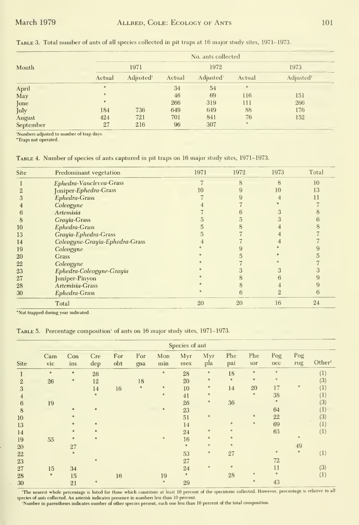|           | No. ants collected |                       |        |                       |         |                       |  |  |  |
|-----------|--------------------|-----------------------|--------|-----------------------|---------|-----------------------|--|--|--|
| Month     |                    | 1971                  | 1972   |                       |         | 1973                  |  |  |  |
|           | Actual             | Adjusted <sup>1</sup> | Actual | Adjusted <sup>1</sup> | Actual  | Adjusted <sup>1</sup> |  |  |  |
| April     | $\circ$            |                       | 34     | 54                    | ۰       |                       |  |  |  |
| May       | $\circ$            |                       | 46     | 69                    | 116     | 151                   |  |  |  |
| June      | $\bullet$          |                       | 266    | 319                   | 111     | 266                   |  |  |  |
| July      | 184                | 736                   | 649    | 649                   | 88      | 176                   |  |  |  |
| August    | 424                | 721                   | 701    | 841                   | 76      | 152                   |  |  |  |
| September | 27                 | 216                   | 96     | 307                   | $\circ$ |                       |  |  |  |

Table 3. Total number of ants of all species collected in pit traps at 16 major study sites, 1971-1973.

'Numbers adjusted to number of trap days.<br>"Traps not operated.

TABLE 4. Number of species of ants captured in pit traps on 16 major study sites, 1971-1973.

| Site | Predominant vegetation         | 1971 | 1972         | 1973 | Total |
|------|--------------------------------|------|--------------|------|-------|
|      | Ephedra-Vanclevea-Grass        |      | $\mathbf{R}$ | 8    | 10    |
|      | Juniper-Ephedra-Grass          | 10   |              | 10   | 13    |
| 3    | Ephedra-Grass                  |      |              |      |       |
|      | Coleogyne                      |      |              |      |       |
| 6    | Artemisia                      |      |              |      |       |
| 8    | Grayia-Grass                   |      |              |      |       |
| 10   | Ephedra-Grass                  |      |              |      |       |
| 13   | Grayia-Ephedra-Grass           |      |              |      |       |
| 14   | Coleogyne-Grayia-Ephedra-Grass |      |              |      |       |
| 19   | Coleogyne                      |      |              |      |       |
| 20   | <b>Grass</b>                   |      |              |      |       |
| 22   | Coleogyne                      |      |              |      |       |
| 23   | Ephedra-Coleogyne-Grayia       |      |              |      |       |
| 27   | Juniper-Pinyon                 |      |              |      |       |
| 28   | Artemisia-Grass                |      |              |      |       |
| 30   | Ephedra-Grass                  |      |              |      |       |
|      | Total                          | 20   | 20           | 16   | 24    |

\*Not trapped during year indicated.

TABLE 5. Percentage composition<sup>1</sup> of ants on 16 major study sites, 1971-1973.

|                |            |            |            |            | Species of ant |            |            |            |            |            |                     |            |                    |
|----------------|------------|------------|------------|------------|----------------|------------|------------|------------|------------|------------|---------------------|------------|--------------------|
| Site           | Cam<br>vic | Con<br>ins | Cre<br>dep | For<br>obt | For<br>gna     | Mon<br>min | Myr<br>mex | Myr<br>pla | Phe<br>pai | Phe<br>sor | Pog<br>$_{\rm occ}$ | Pog<br>rug | Other <sup>2</sup> |
|                | $\circ$    | $\bullet$  | 26         |            |                | $\circ$    | 28         | ۰          | 18         | $\bullet$  | $\circ$             |            | (1)                |
| $\overline{2}$ | 26         | $\circ$    | 12         |            | 18             |            | 20         | $\circ$    | $\circ$    | $\bullet$  | $\circ$             |            | (3)                |
| 3              |            |            | 14         | 16         | $\circ$        | $\circ$    | 10         | $\circ$    | 14         | 20         | 17                  | $\circ$    | (1)                |
| $\overline{4}$ |            |            | $\circ$    |            |                | $\circ$    | 41         | $\circ$    |            | $\circ$    | 38                  |            | $^{(1)}$           |
| 6              | 19         |            |            |            |                |            | 26         | $\circ$    | 36         |            | $\circ$             |            | (3)                |
| 8              |            | $\bullet$  | $\circ$    |            |                | $\circ$    | 23         |            |            |            | 64                  |            | $\left( 1\right)$  |
| 10             |            | $\circ$    |            |            |                |            | 51         | $\circ$    |            | $\alpha$   | 22                  |            | (3)                |
| 13             |            |            | $\alpha$   |            |                |            | 14         |            | $\circ$    | $\circ$    | 69                  |            | (1)                |
| 14             |            | $\bullet$  | $\circ$    |            |                |            | 24         | $\circ$    | $\circ$    |            | 63                  |            | (1)                |
| 19             | 55         | $\bullet$  | $\circ$    |            |                | $\circ$    | 16         | $\circ$    | $\circ$    |            |                     | $\circ$    |                    |
| 20             |            | 27         |            |            |                |            | ۰          | $\circ$    | $\epsilon$ |            |                     | 49         |                    |
| 22             |            | $\bullet$  |            |            |                |            | 53         | $\circ$    | 27         |            | $\circ$             | $\circ$    | (1)                |
| 23             |            |            | $\circ$    |            |                |            | 27         |            |            |            | 72                  |            |                    |
| 27             | 15         | 34         |            |            |                |            | 24         | $\alpha$   | $\circ$    |            | 11                  |            | (3)                |
| 28             | $\bullet$  | 15         |            | 16         |                | 19         | ۰          |            | 28         | $\circ$    | $\circ$             |            | (1)                |
| 30             |            | 21         | $\circ$    |            |                | $\circ$    | 29         |            |            | $\circ$    | 43                  |            |                    |

The nearest whole percentage is listed for those which constitute at least 10 percent of the specimens collected. However, percentage is relative to all species of ants collected. An asterisk indicates presence in numbers